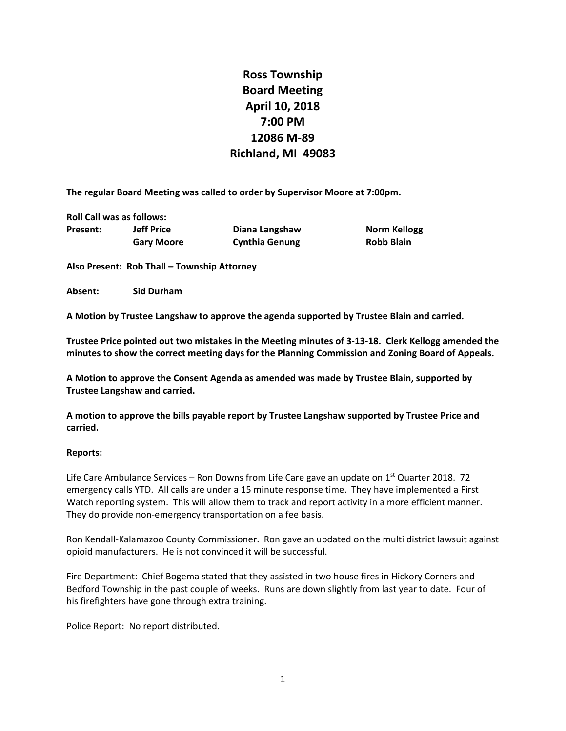# **Ross Township Board Meeting April 10, 2018 7:00 PM 12086 M‐89 Richland, MI 49083**

**The regular Board Meeting was called to order by Supervisor Moore at 7:00pm.**

**Roll Call was as follows:**

|          | <b>NOTE CALL WAS AS TURBWS.</b> |                       |                     |
|----------|---------------------------------|-----------------------|---------------------|
| Present: | <b>Jeff Price</b>               | Diana Langshaw        | <b>Norm Kellogg</b> |
|          | <b>Gary Moore</b>               | <b>Cynthia Genung</b> | <b>Robb Blain</b>   |

**Also Present: Rob Thall – Township Attorney**

**Absent: Sid Durham**

**A Motion by Trustee Langshaw to approve the agenda supported by Trustee Blain and carried.**

Trustee Price pointed out two mistakes in the Meeting minutes of 3-13-18. Clerk Kellogg amended the **minutes to show the correct meeting days for the Planning Commission and Zoning Board of Appeals.**

**A Motion to approve the Consent Agenda as amended was made by Trustee Blain, supported by Trustee Langshaw and carried.**

**A motion to approve the bills payable report by Trustee Langshaw supported by Trustee Price and carried.**

#### **Reports:**

Life Care Ambulance Services – Ron Downs from Life Care gave an update on  $1^{st}$  Quarter 2018. 72 emergency calls YTD. All calls are under a 15 minute response time. They have implemented a First Watch reporting system. This will allow them to track and report activity in a more efficient manner. They do provide non-emergency transportation on a fee basis.

Ron Kendall‐Kalamazoo County Commissioner. Ron gave an updated on the multi district lawsuit against opioid manufacturers. He is not convinced it will be successful.

Fire Department: Chief Bogema stated that they assisted in two house fires in Hickory Corners and Bedford Township in the past couple of weeks. Runs are down slightly from last year to date. Four of his firefighters have gone through extra training.

Police Report: No report distributed.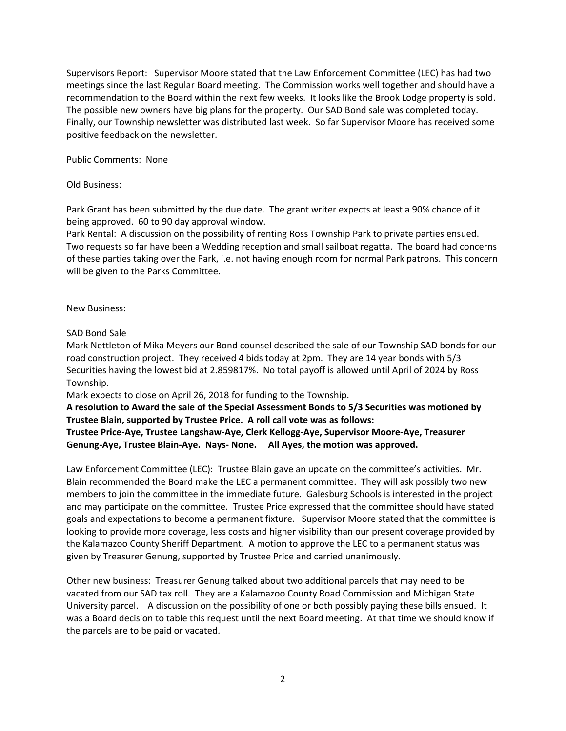Supervisors Report: Supervisor Moore stated that the Law Enforcement Committee (LEC) has had two meetings since the last Regular Board meeting. The Commission works well together and should have a recommendation to the Board within the next few weeks. It looks like the Brook Lodge property is sold. The possible new owners have big plans for the property. Our SAD Bond sale was completed today. Finally, our Township newsletter was distributed last week. So far Supervisor Moore has received some positive feedback on the newsletter.

Public Comments: None

## Old Business:

Park Grant has been submitted by the due date. The grant writer expects at least a 90% chance of it being approved. 60 to 90 day approval window.

Park Rental: A discussion on the possibility of renting Ross Township Park to private parties ensued. Two requests so far have been a Wedding reception and small sailboat regatta. The board had concerns of these parties taking over the Park, i.e. not having enough room for normal Park patrons. This concern will be given to the Parks Committee.

### New Business:

# SAD Bond Sale

Mark Nettleton of Mika Meyers our Bond counsel described the sale of our Township SAD bonds for our road construction project. They received 4 bids today at 2pm. They are 14 year bonds with 5/3 Securities having the lowest bid at 2.859817%. No total payoff is allowed until April of 2024 by Ross Township.

Mark expects to close on April 26, 2018 for funding to the Township.

**A resolution to Award the sale of the Special Assessment Bonds to 5/3 Securities was motioned by Trustee Blain, supported by Trustee Price. A roll call vote was as follows:**

**Trustee Price‐Aye, Trustee Langshaw‐Aye, Clerk Kellogg‐Aye, Supervisor Moore‐Aye, Treasurer Genung‐Aye, Trustee Blain‐Aye. Nays‐ None. All Ayes, the motion was approved.**

Law Enforcement Committee (LEC): Trustee Blain gave an update on the committee's activities. Mr. Blain recommended the Board make the LEC a permanent committee. They will ask possibly two new members to join the committee in the immediate future. Galesburg Schools is interested in the project and may participate on the committee. Trustee Price expressed that the committee should have stated goals and expectations to become a permanent fixture. Supervisor Moore stated that the committee is looking to provide more coverage, less costs and higher visibility than our present coverage provided by the Kalamazoo County Sheriff Department. A motion to approve the LEC to a permanent status was given by Treasurer Genung, supported by Trustee Price and carried unanimously.

Other new business: Treasurer Genung talked about two additional parcels that may need to be vacated from our SAD tax roll. They are a Kalamazoo County Road Commission and Michigan State University parcel. A discussion on the possibility of one or both possibly paying these bills ensued. It was a Board decision to table this request until the next Board meeting. At that time we should know if the parcels are to be paid or vacated.